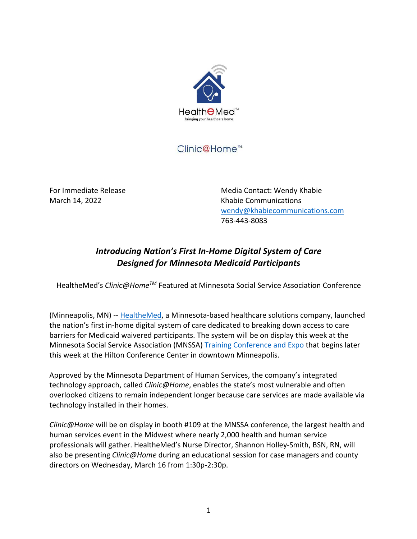

## Clinic@Home<sup>™</sup>

For Immediate Release Media Contact: Wendy Khabie March 14, 2022 **Khabie Communications**  wendy@khabiecommunications.com 763-443-8083

## *Introducing Nation's First In-Home Digital System of Care Designed for Minnesota Medicaid Participants*

HealtheMed's *Clinic@HomeTM* Featured at Minnesota Social Service Association Conference

(Minneapolis, MN) -- HealtheMed, a Minnesota-based healthcare solutions company, launched the nation's first in-home digital system of care dedicated to breaking down access to care barriers for Medicaid waivered participants. The system will be on display this week at the Minnesota Social Service Association (MNSSA) Training Conference and Expo that begins later this week at the Hilton Conference Center in downtown Minneapolis.

Approved by the Minnesota Department of Human Services, the company's integrated technology approach, called *Clinic@Home*, enables the state's most vulnerable and often overlooked citizens to remain independent longer because care services are made available via technology installed in their homes.

*Clinic@Home* will be on display in booth #109 at the MNSSA conference, the largest health and human services event in the Midwest where nearly 2,000 health and human service professionals will gather. HealtheMed's Nurse Director, Shannon Holley-Smith, BSN, RN, will also be presenting *Clinic@Home* during an educational session for case managers and county directors on Wednesday, March 16 from 1:30p-2:30p.